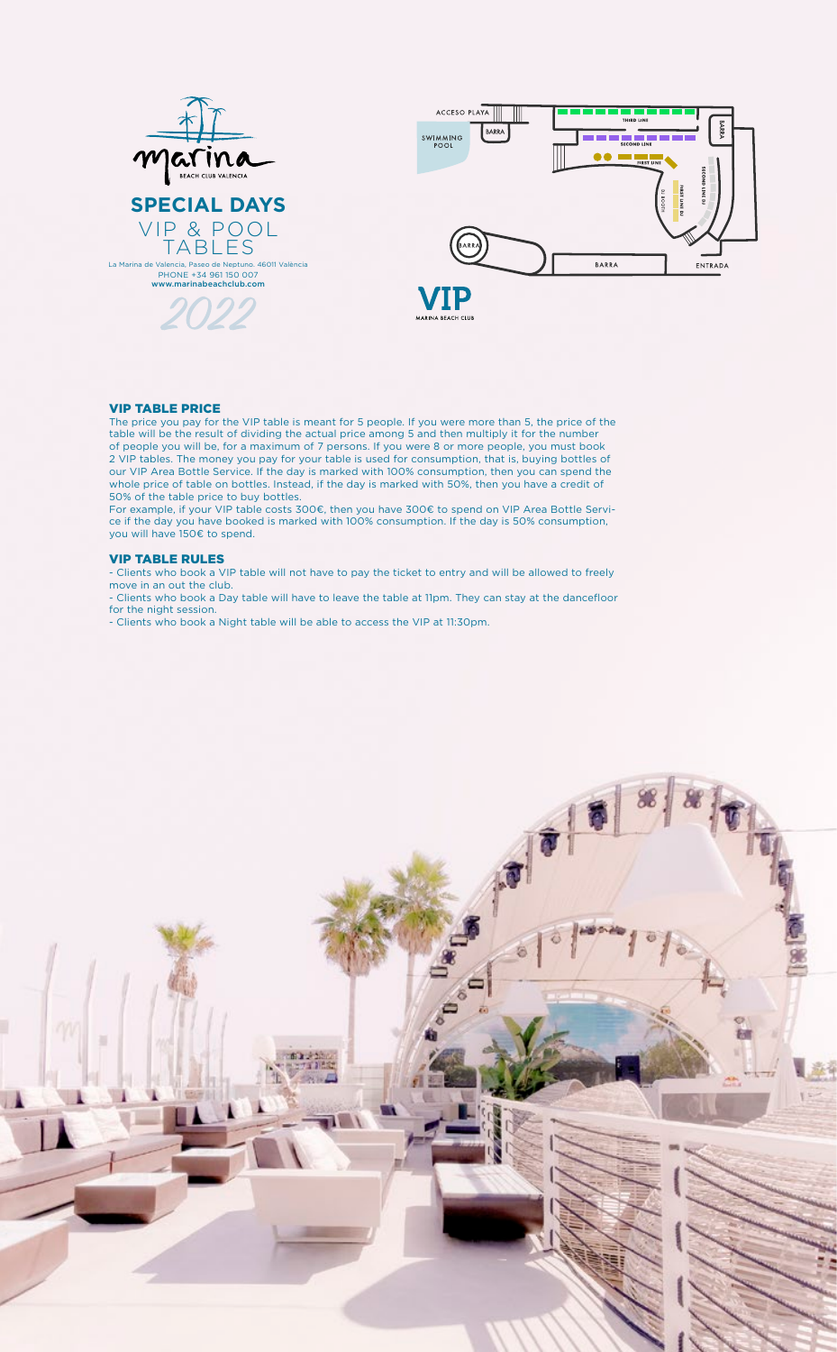VIP & POOL TABLES La Marina de Valencia, Paseo de Neptuno. 46011 València PHONE +34 961 150 007 www.marinabeachclub.com



MARINA BEACH CLUB



#### VIP TABLE PRICE

The price you pay for the VIP table is meant for 5 people. If you were more than 5, the price of the table will be the result of dividing the actual price among 5 and then multiply it for the number of people you will be, for a maximum of 7 persons. If you were 8 or more people, you must book 2 VIP tables. The money you pay for your table is used for consumption, that is, buying bottles of our VIP Area Bottle Service. If the day is marked with 100% consumption, then you can spend the whole price of table on bottles. Instead, if the day is marked with 50%, then you have a credit of 50% of the table price to buy bottles.

For example, if your VIP table costs 300€, then you have 300€ to spend on VIP Area Bottle Service if the day you have booked is marked with 100% consumption. If the day is 50% consumption, you will have 150€ to spend.

### VIP TABLE RULES

- Clients who book a VIP table will not have to pay the ticket to entry and will be allowed to freely move in an out the club.

- Clients who book a Day table will have to leave the table at 11pm. They can stay at the dancefloor for the night session.

- Clients who book a Night table will be able to access the VIP at 11:30pm.